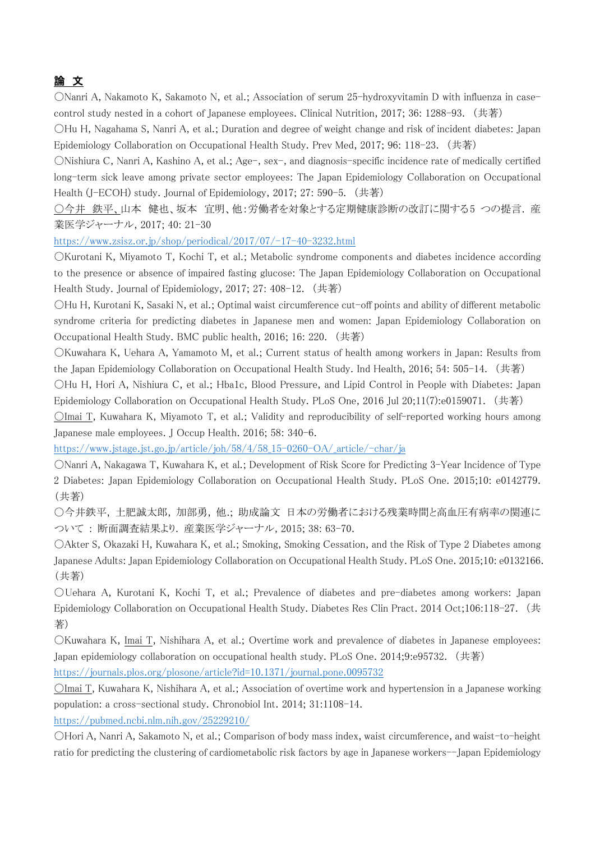## 論 文

〇Nanri A, Nakamoto K, Sakamoto N, et al.; Association of serum 25-hydroxyvitamin D with influenza in casecontrol study nested in a cohort of Japanese employees. Clinical Nutrition, 2017; 36: 1288-93. (共著)

〇Hu H, Nagahama S, Nanri A, et al.; Duration and degree of weight change and risk of incident diabetes: Japan Epidemiology Collaboration on Occupational Health Study. Prev Med, 2017; 96: 118-23. (共著)

〇Nishiura C, Nanri A, Kashino A, et al.; Age-, sex-, and diagnosis-specific incidence rate of medically certified long-term sick leave among private sector employees: The Japan Epidemiology Collaboration on Occupational Health (J-ECOH) study. Journal of Epidemiology, 2017; 27: 590-5. (共著)

○今井 鉄平、山本 健也、坂本 宜明、他:労働者を対象とする定期健康診断の改訂に関する5 つの提言. 産 業医学ジャーナル, 2017; 40: 21-30

https://www.zsisz.or.jp/shop/periodical/2017/07/-17-40-3232.html

〇Kurotani K, Miyamoto T, Kochi T, et al.; Metabolic syndrome components and diabetes incidence according to the presence or absence of impaired fasting glucose: The Japan Epidemiology Collaboration on Occupational Health Study. Journal of Epidemiology, 2017; 27: 408-12. (共著)

〇Hu H, Kurotani K, Sasaki N, et al.; Optimal waist circumference cut-off points and ability of different metabolic syndrome criteria for predicting diabetes in Japanese men and women: Japan Epidemiology Collaboration on Occupational Health Study. BMC public health, 2016; 16: 220. (共著)

〇Kuwahara K, Uehara A, Yamamoto M, et al.; Current status of health among workers in Japan: Results from the Japan Epidemiology Collaboration on Occupational Health Study. Ind Health, 2016; 54: 505-14. (共著)

〇Hu H, Hori A, Nishiura C, et al.; Hba1c, Blood Pressure, and Lipid Control in People with Diabetes: Japan Epidemiology Collaboration on Occupational Health Study. PLoS One, 2016 Jul 20;11(7):e0159071. (共著)

〇Imai T, Kuwahara K, Miyamoto T, et al.; Validity and reproducibility of self-reported working hours among Japanese male employees. J Occup Health. 2016; 58: 340-6.

https://www.jstage.jst.go.jp/article/joh/58/4/58\_15-0260-OA/\_article/-char/ja

〇Nanri A, Nakagawa T, Kuwahara K, et al.; Development of Risk Score for Predicting 3-Year Incidence of Type 2 Diabetes: Japan Epidemiology Collaboration on Occupational Health Study. PLoS One. 2015;10: e0142779. (共著)

〇今井鉄平, 土肥誠太郎, 加部勇, 他.; 助成論文 日本の労働者における残業時間と高血圧有病率の関連に ついて : 断面調査結果より. 産業医学ジャーナル, 2015; 38: 63-70.

〇Akter S, Okazaki H, Kuwahara K, et al.; Smoking, Smoking Cessation, and the Risk of Type 2 Diabetes among Japanese Adults: Japan Epidemiology Collaboration on Occupational Health Study. PLoS One. 2015;10: e0132166. (共著)

〇Uehara A, Kurotani K, Kochi T, et al.; Prevalence of diabetes and pre-diabetes among workers: Japan Epidemiology Collaboration on Occupational Health Study. Diabetes Res Clin Pract. 2014 Oct;106:118-27. (共 著)

〇Kuwahara K, Imai T, Nishihara A, et al.; Overtime work and prevalence of diabetes in Japanese employees: Japan epidemiology collaboration on occupational health study. PLoS One. 2014;9:e95732. (共著)

https://journals.plos.org/plosone/article?id=10.1371/journal.pone.0095732

〇Imai T, Kuwahara K, Nishihara A, et al.; Association of overtime work and hypertension in a Japanese working population: a cross-sectional study. Chronobiol Int. 2014; 31:1108-14.

https://pubmed.ncbi.nlm.nih.gov/25229210/

〇Hori A, Nanri A, Sakamoto N, et al.; Comparison of body mass index, waist circumference, and waist-to-height ratio for predicting the clustering of cardiometabolic risk factors by age in Japanese workers--Japan Epidemiology